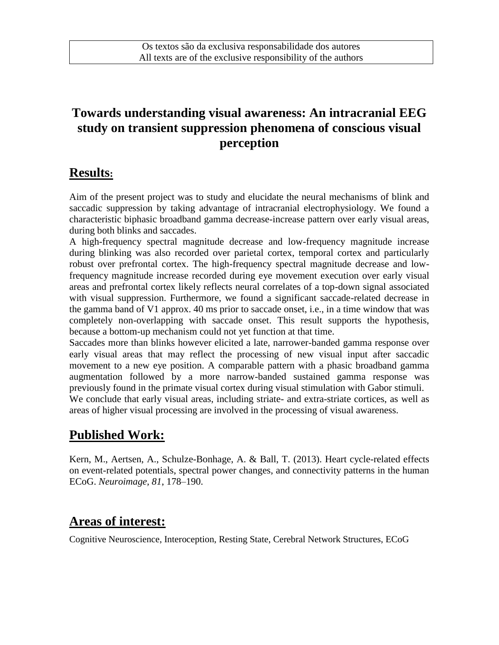## **Towards understanding visual awareness: An intracranial EEG study on transient suppression phenomena of conscious visual perception**

#### **Results:**

Aim of the present project was to study and elucidate the neural mechanisms of blink and saccadic suppression by taking advantage of intracranial electrophysiology. We found a characteristic biphasic broadband gamma decrease-increase pattern over early visual areas, during both blinks and saccades.

A high-frequency spectral magnitude decrease and low-frequency magnitude increase during blinking was also recorded over parietal cortex, temporal cortex and particularly robust over prefrontal cortex. The high-frequency spectral magnitude decrease and lowfrequency magnitude increase recorded during eye movement execution over early visual areas and prefrontal cortex likely reflects neural correlates of a top-down signal associated with visual suppression. Furthermore, we found a significant saccade-related decrease in the gamma band of V1 approx. 40 ms prior to saccade onset, i.e., in a time window that was completely non-overlapping with saccade onset. This result supports the hypothesis, because a bottom-up mechanism could not yet function at that time.

Saccades more than blinks however elicited a late, narrower-banded gamma response over early visual areas that may reflect the processing of new visual input after saccadic movement to a new eye position. A comparable pattern with a phasic broadband gamma augmentation followed by a more narrow-banded sustained gamma response was previously found in the primate visual cortex during visual stimulation with Gabor stimuli. We conclude that early visual areas, including striate- and extra-striate cortices, as well as areas of higher visual processing are involved in the processing of visual awareness.

## **Published Work:**

Kern, M., Aertsen, A., Schulze-Bonhage, A. & Ball, T. (2013). Heart cycle-related effects on event-related potentials, spectral power changes, and connectivity patterns in the human ECoG. *Neuroimage, 81*, 178–190.

## **Areas of interest:**

Cognitive Neuroscience, Interoception, Resting State, Cerebral Network Structures, ECoG